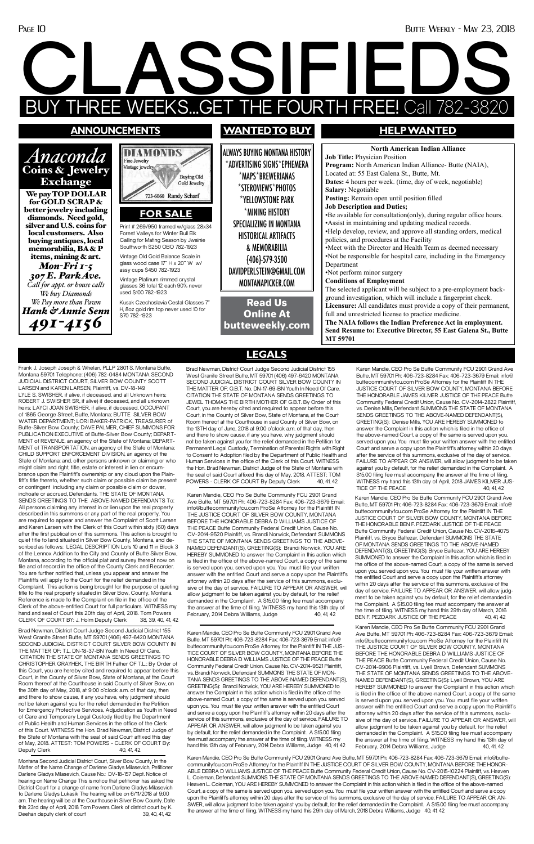#### Page 10 Butte Weekly - May 23, 2018

# **CLASSIFIEDS EEKS...GET THE FOURTH FREE! Call**

hand and seal of Court this 20th day of April, 2018. Tom Powers CLERK OF COURT BY: J. Holm Deputy Clerk 38, 39, 40, 41, 4

Frank J. Joseph Joseph & Whelan, PLLP 2801 S. Montana Butte, Montana 59701 Telephone: (406) 782-0484 MONTANA SECOND JUDICIAL DISTRICT COURT, SILVER BOW COUNTY SCOTT LARSEN and KAREN LARSEN, Plaintiff, vs. DV-18-149 LYLE S. SWISHER, if alive, if deceased, and all Unknown heirs; ROBERT J. SWISHER SR, if alive) if deceased, and all unknown heirs; LAYCI JOAN SWISHER, if alive, if deceased, OCCUPANT of 1865 George Street, Butte, Montana; BUTTE SILVER BOW WATER DEPARTMENT; LORI BAKER-PATRICK, TREASURER of Butte-Silver Bow County; DAVE PALMER, CHIEF SUMMONS FOR PUBLICATION EXECUTIVE of Butte-Silver Bow County; DEPART-MENT of REVENUE, an agency of the State of Montana; DEPART-MENT of TRANSPORTATION, an agency of the State of Montana; CHILD SUPPORT ENFORCEMENT DIVISION, an agency of the State of Montana: and, other persons unknown or claiming or who might claim and right, title, estate or interest in lien or encumbrance upon the Plaintiff's ownership or any cloud upon the Plaintiff's title thereto, whether such claim or possible claim be present or contingent including any claim or possible claim or dower, inchoate or accrued, Defendants. THE STATE OF MONTANA SENDS GREETINGS TO THE ABOVE-NAMED DEFENDANTS To: All persons claiming any interest in or lien upon the real property described in this summons or any part of the real property. You are required to appear and answer the Complaint of Scott Larsen and Karen Larsen with the Clerk of this Court within sixty (60) days after the first publication of this summons. This action is brought to quiet title to land situated in Silver Bow County, Montana, and described as follows: LEGAL DESCRIPTION Lots 10 and 11 in Block 3 of the Lennox Addition to the City and County of Butte Silver Bow, Montana, according to the official plat and survey thereof now on file and of record in the office of the County Clerk and Recorder. You are further notified that, unless you appear and answer the Plaintiffs will apply to the Court for the relief demanded in the Complaint. This action is being brought for the purpose of quieting title to the real property situated in Silver Bow, County, Montana. Reference is made to the Complaint on file in the office of the Clerk of the above-entitled Court for full particulars. WITNESS my

#### Fine Jewelry Coins & Jewelry Vintage jewelry **Buying Old** Gold Jewelry We pay TOP DOLLAR 723-6060 Randy Scharf better jewelry including **FOR SALE**

**DIAMOND** 

Montana Second Judicial District Court, Silver Bow County, In the Matter of the Name Change of Darlene Gladys Milasevich, Petitioner Darlene Gladys Milasevich, Cause No.: DV-18-157 Dept. Notice of hearing on Name Change This is notice that petitioner has asked the District Court for a change of name from Darlene Gladys Milasevich to Darlene Gladys Lukasik The hearing will be on 6/11/2018 at 9:00 am. The hearing will be at the Courthouse in Silver Bow County. Date this 23rd day of April, 2018 Tom Powers Clerk of district court by K. Deehan deputy clerk of court 39, 40, 41, 42

#### **announcements**

*Anaconda* 

Exchange

for GOLD SCRAP &

Brad Newman, District Court Judge Second Judicial District 155 West Granite Street Butte, MT 59701 (406) 497-6420 MONTANA SECOND JUDICIAL DISTRICT COURT SILVER BOW COUNTY IN THE MATTER OF: T.L. DN-18-37-BN Youth In Need Of Care. CITATION THE STATE OF MONTANA SENDS GREETINGS TO CHRISTOPHER GRAYHEK, THE BIRTH Father OF T.L.: By Order of this Court, you are hereby cited and required to appear before this Court, in the County of Silver Bow, State of Montana, at the Court Room thereof at the Courthouse in said County of Silver Bow, on the 30th day of May, 2018, at 9:00 o'clock a.m. of that day, then and there to show cause, if any you have, why judgment should not be taken against you for the relief demanded in the Petition for Emergency Protective Services, Adjudication as Youth in Need of Care and Temporary Legal Custody filed by the Department of Public Health and Human Services in the office of the Clerk of this Court. WITNESS the Hon. Brad Newman, District Judge of the State of Montana with the seal of said Court affixed this day of May, 2018. ATTEST: TOM POWERS - CLERK OF COURT By: Deputy Clerk 40, 41, 42

diamonds. Need gold, silver and U.S. coins for local customers. Also buying antiques, local memorabilia, BA & P items, mining & art. *Mon-Fri 1-5 307 E. Park Ave. Call for appt. or house calls We buy Diamonds We Pay more than Pawn Hank & Annie Senn 491-4156*

ALWAYS BUYING MONTANA HISTORY \*ADVERTISING SIGNS\*EPHEMERA \*MAPS\*BREWERIANAS \*STEROVIEWS\*PHOTOS \*YELLOWSTONE PARK \*MINING HISTORY SPECIALIZING IN MONTANA HISTORICAL ARTIFACTS & MEMORABILIA {406}-579-3500 DAVIDPERLSTEIN@GMAIL.COM MONTANAPICKER.COM

## **wantedto buy HELP WANTED**

Brad Newman, District Court Judge Second Judicial District 155 West Granite Street Butte, MT 59701 (406) 497-6420 MONTANA SECOND JUDICIAL DISTRICT COURT SILVER BOW COUNTY IN THE MATTER OF: G.B.T. No. DN-17-69-BN Youth In Need Of Care. CITATION THE STATE OF MONTANA SENDS GREETINGS TO JEWEL THOMAS THE BIRTH MOTHER OF G.B.T. By Order of this Court, you are hereby cited and required to appear before this Court, in the County of Silver Bow, State of Montana, at the Court Room thereof at the Courthouse in said County of Silver Bow, on the 13TH day of June, 2018 at 9:00 o'clock a.m. of that day, then and there to show cause, if any you have, why judgment should not be taken against you for the relief demanded in the Petition for Permanent Legal Custody, Termination of Parental Rights with Right to Consent to Adoption filed by the Department of Public Health and Human Services in the office of the Clerk of this Court. WITNESS the Hon. Brad Newman, District Judge of the State of Montana with the seal of said Court affixed this day of May, 2018. ATTEST: TOM POWERS - CLERK OF COURT By Deputy Clerk 40, 41, 42

**North American Indian Alliance Job Title:** Physician Position **Program:** North American Indian Alliance- Butte (NAIA), Located at: 55 East Galena St., Butte, Mt. **Dates:** 4 hours per week. (time, day of week, negotiable) **Salary:** Negotiable **Posting:** Remain open until position filled **Job Description and Duties;** •Be available for consultation(only), during regular office hours. •Assist in maintaining and updating medical records. •Help develop, review, and approve all standing orders, medical policies, and procedures at the Facility •Meet with the Director and Health Team as deemed necessary •Not be responsible for hospital care, including in the Emergency Department •Not perform minor surgery **Conditions of Employment** The selected applicant will be subject to a pre-employment background investigation, which will include a fingerprint check. **Licensure:** All candidates must provide a copy of their permanent, full and unrestricted license to practice medicine. **The NAIA follows the Indian Preference Act in employment. Send Resume to: Executive Director, 55 East Galena St., Butte MT 59701**

Karen Mandie, CEO Pro Se Butte Community FCU 2901 Grand Ave Butte, MT 59701 Ph: 406-723-8284 Fax: 406-723-3679 Email: info@buttecommunityfcu.com ProSe Attorney for the Plaintiff IN THE JUSTICE COURT OF SILVER BOW COUNTY, MONTANA BEFORE THE HONORABLE DEBRA D WILLIAMS JUSTICE OF THE PEACE Butte Community Federal Credit Union, Cause No. CV-2014-9520 Plaintiff, vs. Brandi Norwick, Defendant SUMMONS THE STATE OF MONTANA SENDS GREETINGS TO THE ABOVE-NAMED DEFENDANT(S), GREETING(S): Brandi Norwick, YOU ARE HEREBY SUMMONED to answer the Complaint in this action which is filed in the office of the above-named Court, a copy of the same is served upon you. served upon you. You must file your written answer with the entitled Court and serve a copy upon the Plaintiff's attorney within 20 days after the service of this summons, exclusive of the day of service. FAILURE TO APPEAR OR ANSWER, will allow judgment to be taken against you by default, for the relief demanded in the Complaint. A \$15.00 filing fee must accompany the answer at the time of filing. WITNESS my hand this 13th day of February, 2014 Debra Williams, Judge 40, 41, 42

Read Us Online At butteweekly.com

Print # 269/950 framed w/glass 28x34 Forest Valleys for Winter Bull Elk Calling for Mating Season by Jwainie Southworth \$250 OBO 782-1923

Vintage Old Gold Balance Scale in glass wood case 17" H x 20" W w/

assy cups \$450 782-1923 Vintage Platinum rimmed crystal glasses 36 total 12 each 90% never

used \$100 782-1923 Kusak Czechoslavia Cestal Glasses 7" H, 8oz gold rim top never used 10 for \$70 782-1923

Karen Mandie, CEO Pro Se Butte Community FCU 2901 Grand Ave Butte, MT 59701 Ph: 406-723-8284 Fax: 406-723-3679 Email: info@ buttecommunityfcu.com ProSe Attorney for the Plaintiff IN THE JUSTICE COURT OF SILVER BOW COUNTY, MONTANA BEFORE THE HONORABLE JAMES KILMER JUSTICE OF THE PEACE Butte Community Federal Credit Union, Cause No. CV-2014-2822 Plaintiff, vs. Denise Mills, Defendant SUMMONS THE STATE OF MONTANA SENDS GREETINGS TO THE ABOVE-NAMED DEFENDANT(S), GREETING(S): Denise Mills, YOU ARE HEREBY SUMMONED to answer the Complaint in this action which is filed in the office of the above-named Court, a copy of the same is served upon you. served upon you. You must file your written answer with the entitled Court and serve a copy upon the Plaintiff's attorney within 20 days after the service of this summons, exclusive of the day of service. FAILURE TO APPEAR OR ANSWER, will allow judgment to be taken against you by default, for the relief demanded in the Complaint. A \$15.00 filing fee must accompany the answer at the time of filing. WITNESS my hand this 13th day of April, 2018 JAMES KILMER JUS-TICE OF THE PEACE 40, 41, 42

Karen Mandie, CEO Pro Se Butte Community FCU 2901 Grand Ave Butte, MT 59701 Ph: 406-723-8284 Fax: 406-723-3679 Email: info@ buttecommunityfcu.com ProSe Attorney for the Plaintiff IN THE JUSTICE COURT OF SILVER BOW COUNTY, MONTANA BEFORE THE HONORABLE BEN F. PEZDARK JUSTICE OF THE PEACE Butte Community Federal Credit Union, Cause No. CV-2016-4075 Plaintiff, vs. Bryce Baltezar, Defendant SUMMONS THE STATE OF MONTANA SENDS GREETINGS TO THE ABOVE-NAMED DEFENDANT(S), GREETING(S): Bryce Baltezar, YOU ARE HEREBY SUMMONED to answer the Complaint in this action which is filed in the office of the above-named Court, a copy of the same is served upon you. served upon you. You must file your written answer with the entitled Court and serve a copy upon the Plaintiff's attorney within 20 days after the service of this summons, exclusive of the day of service. FAILURE TO APPEAR OR ANSWER, will allow judgment to be taken against you by default, for the relief demanded in the Complaint. A \$15.00 filing fee must accompany the answer at the time of filing. WITNESS my hand this 29th day of March, 2016 BEN F. PEZDARK JUSTICE OF THE PEACE 40, 41, 42 Karen Mandie, CEO Pro Se Butte Community FCU 2901 Grand Ave Butte, MT 59701 Ph: 406-723-8284 Fax: 406-723-3679 Email: info@buttecommunityfcu.com ProSe Attorney for the Plaintiff IN THE JUSTICE COURT OF SILVER BOW COUNTY, MONTANA BEFORE THE HONORABLE DEBRA D WILLIAMS JUSTICE OF THE PEACE Butte Community Federal Credit Union, Cause No. CV-2014-9906 Plaintiff, vs. Lyell Brown, Defendant SUMMONS THE STATE OF MONTANA SENDS GREETINGS TO THE ABOVE-NAMED DEFENDANT(S), GREETING(S): Lyell Brown, YOU ARE HEREBY SUMMONED to answer the Complaint in this action which is filed in the office of the above-named Court, a copy of the same is served upon you. served upon you. You must file your written answer with the entitled Court and serve a copy upon the Plaintiff's attorney within 20 days after the service of this summons, exclusive of the day of service. FAILURE TO APPEAR OR ANSWER, will allow judgment to be taken against you by default, for the relief demanded in the Complaint. A \$15.00 filing fee must accompany the answer at the time of filing. WITNESS my hand this 13th day of February, 2014 Debra Williams, Judge 40, 41, 42

Karen Mandie, CEO Pro Se Butte Community FCU 2901 Grand Ave Butte, MT 59701 Ph: 406-723-8284 Fax: 406-723-3679 Email: info@ buttecommunityfcu.com ProSe Attorney for the Plaintiff IN THE JUS-TICE COURT OF SILVER BOW COUNTY, MONTANA BEFORE THE HONORABLE DEBRA D WILLIAMS JUSTICE OF THE PEACE Butte Community Federal Credit Union, Cause No. CV-2014-9521 Plaintiff, vs. Brandi Norwick, Defendant SUMMONS THE STATE OF MON-TANA SENDS GREETINGS TO THE ABOVE-NAMED DEFENDANT(S), GREETING(S): Brandi Norwick, YOU ARE HEREBY SUMMONED to answer the Complaint in this action which is filed in the office of the above-named Court, a copy of the same is served upon you. served upon you. You must file your written answer with the entitled Court and serve a copy upon the Plaintiff's attorney within 20 days after the service of this summons, exclusive of the day of service. FAILURE TO APPEAR OR ANSWER, will allow judgment to be taken against you by default, for the relief demanded in the Complaint. A \$15.00 filing fee must accompany the answer at the time of filing. WITNESS my hand this 13th day of February, 2014 Debra Williams, Judge 40, 41, 42

Karen Mandie, CEO Pro Se Butte Community FCU 2901 Grand Ave Butte, MT 59701 Ph: 406-723-8284 Fax: 406-723-3679 Email: info@buttecommunityfcu.com ProSe Attorney for the Plaintiff IN THE JUSTICE COURT OF SILVER BOW COUNTY, MONTANA BEFORE THE HONOR-ABLE DEBRA D WILLIAMS JUSTICE OF THE PEACE Butte Community Federal Credit Union, Cause No. CV-2015-10224 Plaintiff, vs. Heaven L. Coleman, Defendant SUMMONS THE STATE OF MONTANA SENDS GREETINGS TO THE ABOVE-NAMED DEFENDANT(S), GREETING(S): Heaven L. Coleman, YOU ARE HEREBY SUMMONED to answer the Complaint in this action which is filed in the office of the above-named Court, a copy of the same is served upon you. served upon you. You must file your written answer with the entitled Court and serve a copy upon the Plaintiff's attorney within 20 days after the service of this summons, exclusive of the day of service. FAILURE TO APPEAR OR AN-SWER, will allow judgment to be taken against you by default, for the relief demanded in the Complaint. A \$15.00 filing fee must accompany the answer at the time of filing. WITNESS my hand this 29th day of March, 2018 Debra Williams, Judge 40, 41, 42

**LEGALS**